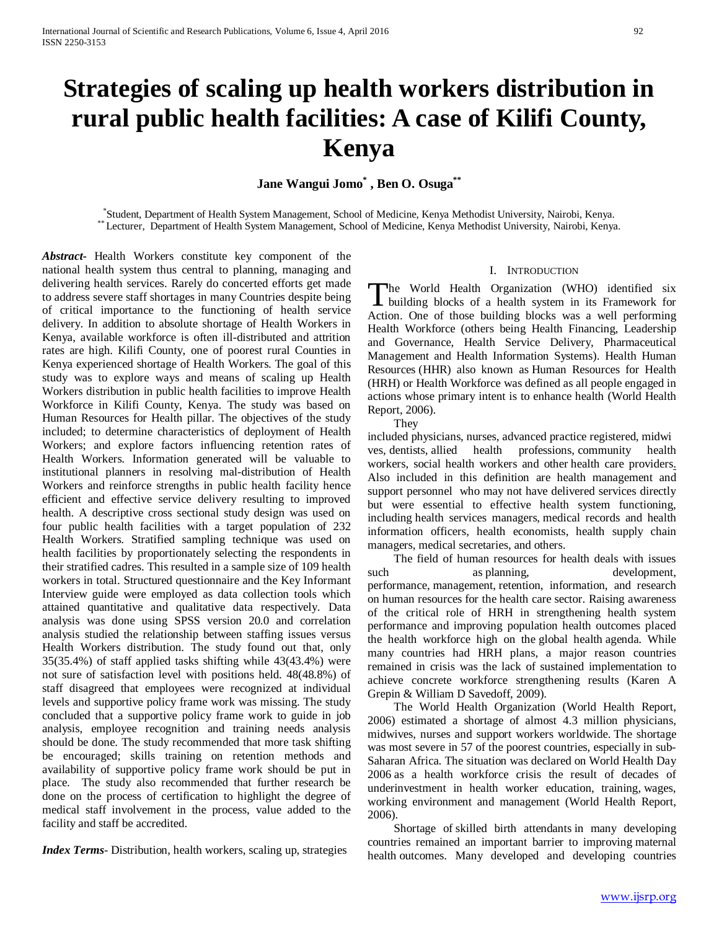# **Strategies of scaling up health workers distribution in rural public health facilities: A case of Kilifi County, Kenya**

**Jane Wangui Jomo\* , Ben O. Osuga\*\***

\*Student, Department of Health System Management, School of Medicine, Kenya Methodist University, Nairobi, Kenya. \*\* Lecturer, Department of Health System Management, School of Medicine, Kenya Methodist University, Nairobi, Kenya.

*Abstract***-** Health Workers constitute key component of the national health system thus central to planning, managing and delivering health services. Rarely do concerted efforts get made to address severe staff shortages in many Countries despite being of critical importance to the functioning of health service delivery. In addition to absolute shortage of Health Workers in Kenya, available workforce is often ill-distributed and attrition rates are high. Kilifi County, one of poorest rural Counties in Kenya experienced shortage of Health Workers. The goal of this study was to explore ways and means of scaling up Health Workers distribution in public health facilities to improve Health Workforce in Kilifi County, Kenya. The study was based on Human Resources for Health pillar. The objectives of the study included; to determine characteristics of deployment of Health Workers; and explore factors influencing retention rates of Health Workers. Information generated will be valuable to institutional planners in resolving mal-distribution of Health Workers and reinforce strengths in public health facility hence efficient and effective service delivery resulting to improved health. A descriptive cross sectional study design was used on four public health facilities with a target population of 232 Health Workers. Stratified sampling technique was used on health facilities by proportionately selecting the respondents in their stratified cadres. This resulted in a sample size of 109 health workers in total. Structured questionnaire and the Key Informant Interview guide were employed as data collection tools which attained quantitative and qualitative data respectively. Data analysis was done using SPSS version 20.0 and correlation analysis studied the relationship between staffing issues versus Health Workers distribution. The study found out that, only 35(35.4%) of staff applied tasks shifting while 43(43.4%) were not sure of satisfaction level with positions held. 48(48.8%) of staff disagreed that employees were recognized at individual levels and supportive policy frame work was missing. The study concluded that a supportive policy frame work to guide in job analysis, employee recognition and training needs analysis should be done. The study recommended that more task shifting be encouraged; skills training on retention methods and availability of supportive policy frame work should be put in place. The study also recommended that further research be done on the process of certification to highlight the degree of medical staff involvement in the process, value added to the facility and staff be accredited.

*Index Terms*- Distribution, health workers, scaling up, strategies

The World Health Organization (WHO) identified six The World Health Organization (WHO) identified six<br>building blocks of a health system in its Framework for Action. One of those building blocks was a well performing Health Workforce (others being Health Financing, Leadership and Governance, Health Service Delivery, Pharmaceutical Management and Health Information Systems). Health Human Resources (HHR) also known as Human Resources for Health (HRH) or Health Workforce was defined as all people engaged in actions whose primary intent is to enhance health (World Health

I. INTRODUCTION

Report, 2006). They

included physicians, nurses, advanced practice registered, midwi ves, dentists, allied health professions, community health workers, social health workers and other health care providers. Also included in this definition are health management and support personnel who may not have delivered services directly but were essential to effective health system functioning, including health services managers, medical records and health information officers, health economists, health supply chain managers, medical secretaries, and others.

 The field of human resources for health deals with issues such as planning, development, performance, management, retention, information, and research on human resources for the health care sector. Raising awareness of the critical role of HRH in strengthening health system performance and improving population health outcomes placed the health workforce high on the global health agenda. While many countries had HRH plans, a major reason countries remained in crisis was the lack of sustained implementation to achieve concrete workforce strengthening results (Karen A Grepin & William D Savedoff, 2009).

 The World Health Organization (World Health Report, 2006) estimated a shortage of almost 4.3 million physicians, midwives, nurses and support workers worldwide. The shortage was most severe in 57 of the poorest countries, especially in sub-Saharan Africa. The situation was declared on World Health Day 2006 as a health workforce crisis the result of decades of underinvestment in health worker education, training, wages, working environment and management (World Health Report, 2006).

 Shortage of skilled birth attendants in many developing countries remained an important barrier to improving maternal health outcomes. Many developed and developing countries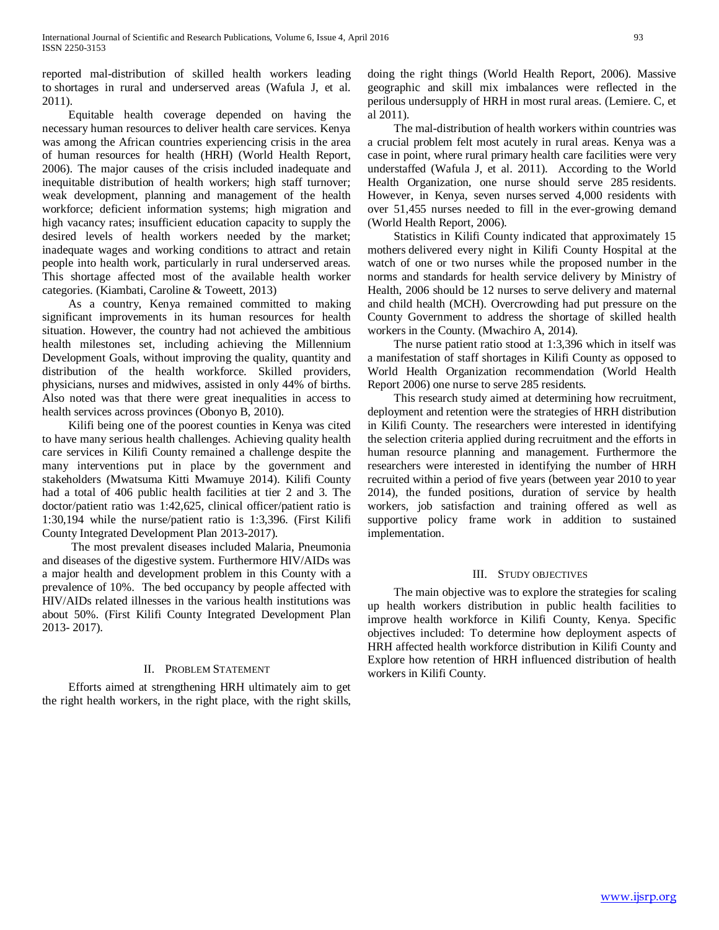reported mal-distribution of skilled health workers leading to shortages in rural and underserved areas (Wafula J, et al. 2011).

 Equitable health coverage depended on having the necessary human resources to deliver health care services. Kenya was among the African countries experiencing crisis in the area of human resources for health (HRH) (World Health Report, 2006). The major causes of the crisis included inadequate and inequitable distribution of health workers; high staff turnover; weak development, planning and management of the health workforce; deficient information systems; high migration and high vacancy rates; insufficient education capacity to supply the desired levels of health workers needed by the market; inadequate wages and working conditions to attract and retain people into health work, particularly in rural underserved areas. This shortage affected most of the available health worker categories. (Kiambati, Caroline & Toweett, 2013)

 As a country, Kenya remained committed to making significant improvements in its human resources for health situation. However, the country had not achieved the ambitious health milestones set, including achieving the Millennium Development Goals, without improving the quality, quantity and distribution of the health workforce. Skilled providers, physicians, nurses and midwives, assisted in only 44% of births. Also noted was that there were great inequalities in access to health services across provinces (Obonyo B, 2010).

 Kilifi being one of the poorest counties in Kenya was cited to have many serious health challenges. Achieving quality health care services in Kilifi County remained a challenge despite the many interventions put in place by the government and stakeholders (Mwatsuma Kitti Mwamuye 2014). Kilifi County had a total of 406 public health facilities at tier 2 and 3. The doctor/patient ratio was 1:42,625, clinical officer/patient ratio is 1:30,194 while the nurse/patient ratio is 1:3,396. (First Kilifi County Integrated Development Plan 2013-2017).

 The most prevalent diseases included Malaria, Pneumonia and diseases of the digestive system. Furthermore HIV/AIDs was a major health and development problem in this County with a prevalence of 10%. The bed occupancy by people affected with HIV/AIDs related illnesses in the various health institutions was about 50%. (First Kilifi County Integrated Development Plan 2013- 2017).

# II. PROBLEM STATEMENT

 Efforts aimed at strengthening HRH ultimately aim to get the right health workers, in the right place, with the right skills, doing the right things (World Health Report, 2006). Massive geographic and skill mix imbalances were reflected in the perilous undersupply of HRH in most rural areas. (Lemiere. C, et al 2011).

 The mal-distribution of health workers within countries was a crucial problem felt most acutely in rural areas. Kenya was a case in point, where rural primary health care facilities were very understaffed (Wafula J, et al. 2011). According to the World Health Organization, one nurse should serve 285 residents. However, in Kenya, seven nurses served 4,000 residents with over 51,455 nurses needed to fill in the ever-growing demand (World Health Report, 2006).

 Statistics in Kilifi County indicated that approximately 15 mothers delivered every night in Kilifi County Hospital at the watch of one or two nurses while the proposed number in the norms and standards for health service delivery by Ministry of Health, 2006 should be 12 nurses to serve delivery and maternal and child health (MCH). Overcrowding had put pressure on the County Government to address the shortage of skilled health workers in the County. (Mwachiro A, 2014).

 The nurse patient ratio stood at 1:3,396 which in itself was a manifestation of staff shortages in Kilifi County as opposed to World Health Organization recommendation (World Health Report 2006) one nurse to serve 285 residents.

 This research study aimed at determining how recruitment, deployment and retention were the strategies of HRH distribution in Kilifi County. The researchers were interested in identifying the selection criteria applied during recruitment and the efforts in human resource planning and management. Furthermore the researchers were interested in identifying the number of HRH recruited within a period of five years (between year 2010 to year 2014), the funded positions, duration of service by health workers, job satisfaction and training offered as well as supportive policy frame work in addition to sustained implementation.

# III. STUDY OBJECTIVES

 The main objective was to explore the strategies for scaling up health workers distribution in public health facilities to improve health workforce in Kilifi County, Kenya. Specific objectives included: To determine how deployment aspects of HRH affected health workforce distribution in Kilifi County and Explore how retention of HRH influenced distribution of health workers in Kilifi County.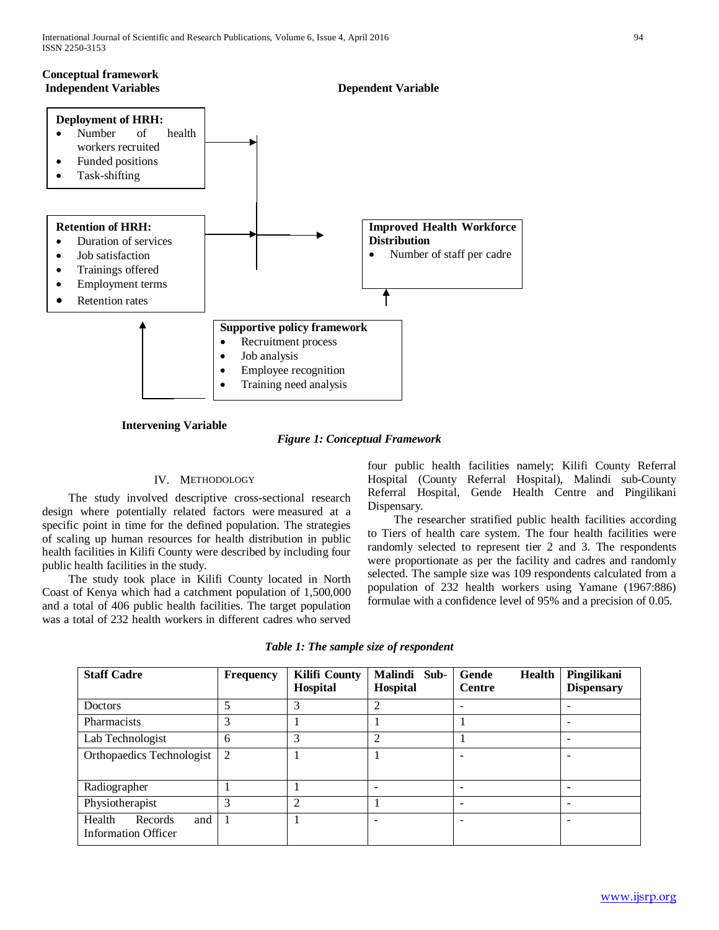# **Conceptual framework Independent Variables Dependent Variable**



 **Intervening Variable**

# *Figure 1: Conceptual Framework*

# IV. METHODOLOGY

 The study involved descriptive cross-sectional research design where potentially related factors were measured at a specific point in time for the defined population. The strategies of scaling up human resources for health distribution in public health facilities in Kilifi County were described by including four public health facilities in the study.

 The study took place in Kilifi County located in North Coast of Kenya which had a catchment population of 1,500,000 and a total of 406 public health facilities. The target population was a total of 232 health workers in different cadres who served

four public health facilities namely; Kilifi County Referral Hospital (County Referral Hospital), Malindi sub-County Referral Hospital, Gende Health Centre and Pingilikani Dispensary.

 The researcher stratified public health facilities according to Tiers of health care system. The four health facilities were randomly selected to represent tier 2 and 3. The respondents were proportionate as per the facility and cadres and randomly selected. The sample size was 109 respondents calculated from a population of 232 health workers using Yamane (1967:886) formulae with a confidence level of 95% and a precision of 0.05.

| <b>Staff Cadre</b>                                     | <b>Frequency</b> | <b>Kilifi County</b><br><b>Hospital</b> | Malindi Sub-<br>Hospital | <b>Health</b><br>Gende<br><b>Centre</b> | Pingilikani<br><b>Dispensary</b> |
|--------------------------------------------------------|------------------|-----------------------------------------|--------------------------|-----------------------------------------|----------------------------------|
| <b>Doctors</b>                                         | 5                | 3                                       | $\mathcal{D}$            |                                         |                                  |
| <b>Pharmacists</b>                                     | 3                |                                         |                          |                                         |                                  |
| Lab Technologist                                       | 6                | 3                                       | $\mathfrak{D}$           |                                         |                                  |
| Orthopaedics Technologist                              | 2                |                                         |                          |                                         |                                  |
| Radiographer                                           |                  |                                         | -                        |                                         |                                  |
| Physiotherapist                                        | 3                | ◠                                       |                          |                                         |                                  |
| Health<br>Records<br>and<br><b>Information Officer</b> |                  |                                         |                          |                                         |                                  |

*Table 1: The sample size of respondent*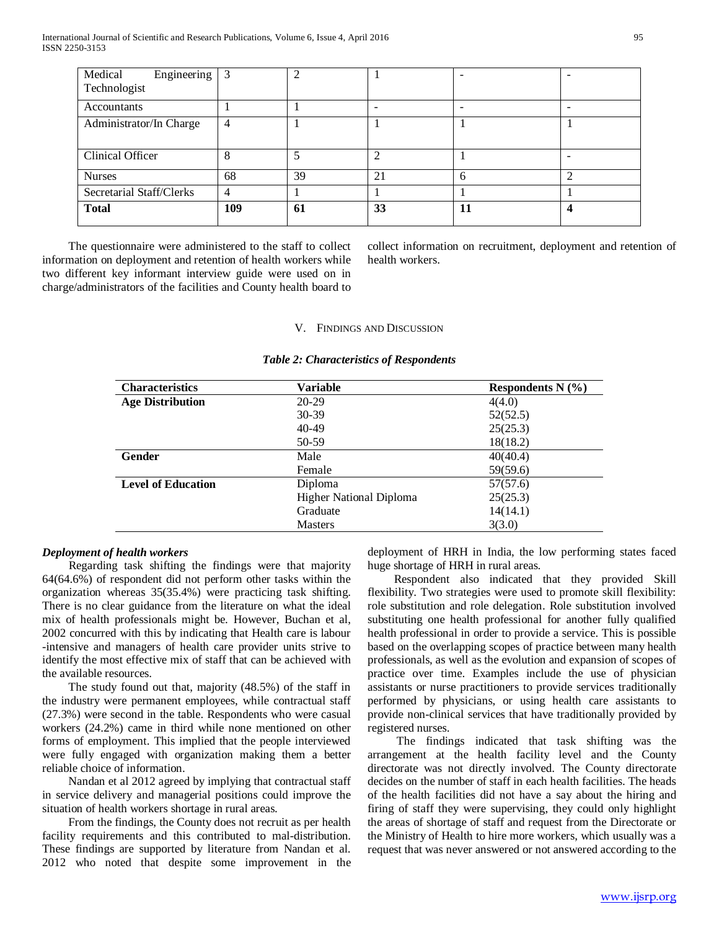| Engineering<br>Medical   | 3              | ⌒  |    |    |   |
|--------------------------|----------------|----|----|----|---|
| Technologist             |                |    |    |    |   |
| Accountants              |                |    |    |    |   |
| Administrator/In Charge  | $\overline{4}$ |    |    |    |   |
|                          |                |    |    |    |   |
| Clinical Officer         | 8              |    | ◠  |    |   |
| <b>Nurses</b>            | 68             | 39 | 21 | h  | ◠ |
| Secretarial Staff/Clerks | $\overline{4}$ |    |    |    |   |
| <b>Total</b>             | 109            | 61 | 33 | 11 |   |
|                          |                |    |    |    |   |

 The questionnaire were administered to the staff to collect information on deployment and retention of health workers while two different key informant interview guide were used on in charge/administrators of the facilities and County health board to collect information on recruitment, deployment and retention of health workers.

## V. FINDINGS AND DISCUSSION

| <b>Characteristics</b>    | Variable                       | Respondents $N(\%)$ |  |
|---------------------------|--------------------------------|---------------------|--|
| <b>Age Distribution</b>   | 20-29                          | 4(4.0)              |  |
|                           | $30-39$                        | 52(52.5)            |  |
|                           | $40-49$                        | 25(25.3)            |  |
|                           | 50-59                          | 18(18.2)            |  |
| <b>Gender</b>             | Male                           | 40(40.4)            |  |
|                           | Female                         | 59(59.6)            |  |
| <b>Level of Education</b> | Diploma                        | 57(57.6)            |  |
|                           | <b>Higher National Diploma</b> | 25(25.3)            |  |
|                           | Graduate                       | 14(14.1)            |  |
|                           | <b>Masters</b>                 | 3(3.0)              |  |

# *Table 2: Characteristics of Respondents*

# *Deployment of health workers*

 Regarding task shifting the findings were that majority 64(64.6%) of respondent did not perform other tasks within the organization whereas 35(35.4%) were practicing task shifting. There is no clear guidance from the literature on what the ideal mix of health professionals might be. However, Buchan et al, 2002 concurred with this by indicating that Health care is labour -intensive and managers of health care provider units strive to identify the most effective mix of staff that can be achieved with the available resources.

 The study found out that, majority (48.5%) of the staff in the industry were permanent employees, while contractual staff (27.3%) were second in the table. Respondents who were casual workers (24.2%) came in third while none mentioned on other forms of employment. This implied that the people interviewed were fully engaged with organization making them a better reliable choice of information.

 Nandan et al 2012 agreed by implying that contractual staff in service delivery and managerial positions could improve the situation of health workers shortage in rural areas.

 From the findings, the County does not recruit as per health facility requirements and this contributed to mal-distribution. These findings are supported by literature from Nandan et al. 2012 who noted that despite some improvement in the deployment of HRH in India, the low performing states faced huge shortage of HRH in rural areas.

 Respondent also indicated that they provided Skill flexibility. Two strategies were used to promote skill flexibility: role substitution and role delegation. Role substitution involved substituting one health professional for another fully qualified health professional in order to provide a service. This is possible based on the overlapping scopes of practice between many health professionals, as well as the evolution and expansion of scopes of practice over time. Examples include the use of physician assistants or nurse practitioners to provide services traditionally performed by physicians, or using health care assistants to provide non-clinical services that have traditionally provided by registered nurses.

 The findings indicated that task shifting was the arrangement at the health facility level and the County directorate was not directly involved. The County directorate decides on the number of staff in each health facilities. The heads of the health facilities did not have a say about the hiring and firing of staff they were supervising, they could only highlight the areas of shortage of staff and request from the Directorate or the Ministry of Health to hire more workers, which usually was a request that was never answered or not answered according to the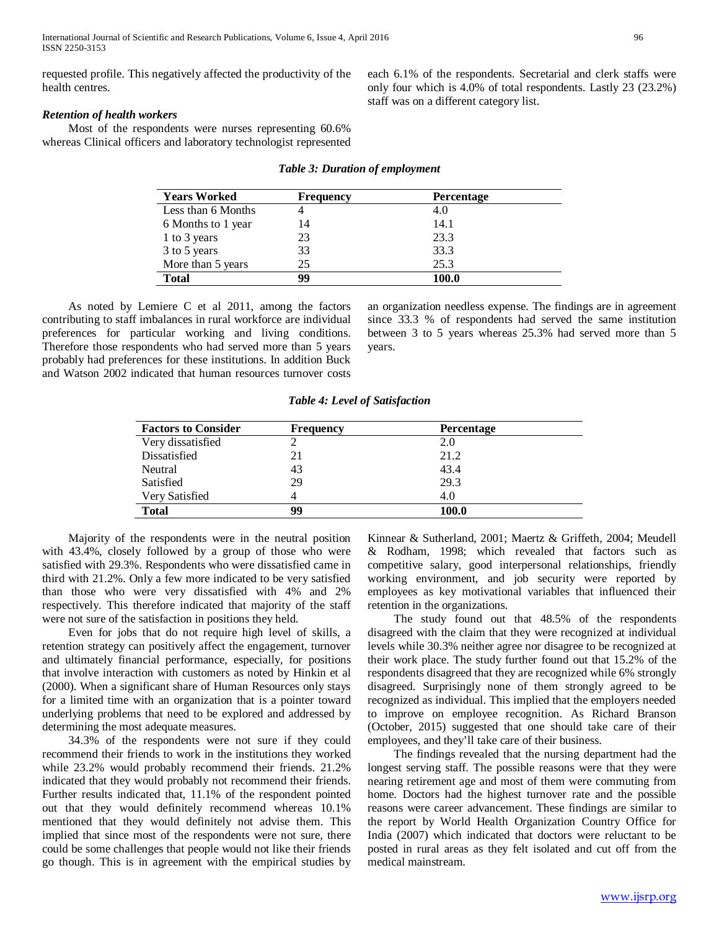requested profile. This negatively affected the productivity of the health centres.

each 6.1% of the respondents. Secretarial and clerk staffs were only four which is 4.0% of total respondents. Lastly 23 (23.2%) staff was on a different category list.

# *Retention of health workers*

 Most of the respondents were nurses representing 60.6% whereas Clinical officers and laboratory technologist represented

| <b>Years Worked</b> | Frequency | <b>Percentage</b> |  |
|---------------------|-----------|-------------------|--|
| Less than 6 Months  |           | 4.0               |  |
| 6 Months to 1 year  | 14        | 14.1              |  |
| 1 to 3 years        | 23        | 23.3              |  |
| 3 to 5 years        | 33        | 33.3              |  |
| More than 5 years   | 25        | 25.3              |  |
| <b>Total</b>        | 99        | 100.0             |  |

# *Table 3: Duration of employment*

 As noted by Lemiere C et al 2011, among the factors contributing to staff imbalances in rural workforce are individual preferences for particular working and living conditions. Therefore those respondents who had served more than 5 years probably had preferences for these institutions. In addition Buck and Watson 2002 indicated that human resources turnover costs an organization needless expense. The findings are in agreement since 33.3 % of respondents had served the same institution between 3 to 5 years whereas 25.3% had served more than 5 years.

# *Table 4: Level of Satisfaction*

| <b>Factors to Consider</b> | <b>Frequency</b> | <b>Percentage</b> |  |
|----------------------------|------------------|-------------------|--|
| Very dissatisfied          |                  | 2.0               |  |
| Dissatisfied               | 21               | 21.2              |  |
| Neutral                    | 43               | 43.4              |  |
| Satisfied                  | 29               | 29.3              |  |
| Very Satisfied             |                  | 4.0               |  |
| <b>Total</b>               | 99               | 100.0             |  |

 Majority of the respondents were in the neutral position with 43.4%, closely followed by a group of those who were satisfied with 29.3%. Respondents who were dissatisfied came in third with 21.2%. Only a few more indicated to be very satisfied than those who were very dissatisfied with 4% and 2% respectively. This therefore indicated that majority of the staff were not sure of the satisfaction in positions they held.

 Even for jobs that do not require high level of skills, a retention strategy can positively affect the engagement, turnover and ultimately financial performance, especially, for positions that involve interaction with customers as noted by Hinkin et al (2000). When a significant share of Human Resources only stays for a limited time with an organization that is a pointer toward underlying problems that need to be explored and addressed by determining the most adequate measures.

 34.3% of the respondents were not sure if they could recommend their friends to work in the institutions they worked while 23.2% would probably recommend their friends. 21.2% indicated that they would probably not recommend their friends. Further results indicated that, 11.1% of the respondent pointed out that they would definitely recommend whereas 10.1% mentioned that they would definitely not advise them. This implied that since most of the respondents were not sure, there could be some challenges that people would not like their friends go though. This is in agreement with the empirical studies by

Kinnear & Sutherland, 2001; Maertz & Griffeth, 2004; Meudell & Rodham, 1998; which revealed that factors such as competitive salary, good interpersonal relationships, friendly working environment, and job security were reported by employees as key motivational variables that influenced their retention in the organizations.

 The study found out that 48.5% of the respondents disagreed with the claim that they were recognized at individual levels while 30.3% neither agree nor disagree to be recognized at their work place. The study further found out that 15.2% of the respondents disagreed that they are recognized while 6% strongly disagreed. Surprisingly none of them strongly agreed to be recognized as individual. This implied that the employers needed to improve on employee recognition. As Richard Branson (October, 2015) suggested that one should take care of their employees, and they'll take care of their business.

 The findings revealed that the nursing department had the longest serving staff. The possible reasons were that they were nearing retirement age and most of them were commuting from home. Doctors had the highest turnover rate and the possible reasons were career advancement. These findings are similar to the report by World Health Organization Country Office for India (2007) which indicated that doctors were reluctant to be posted in rural areas as they felt isolated and cut off from the medical mainstream.